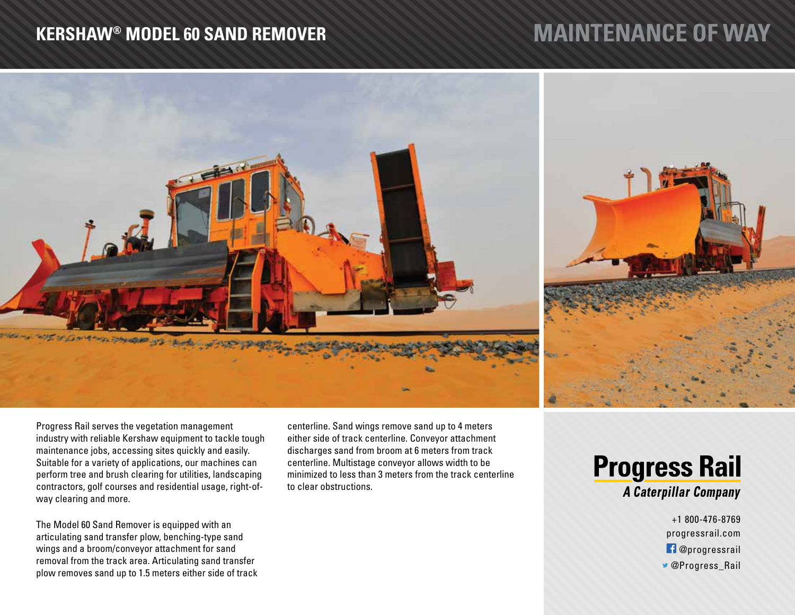## **KERSHAW® MODEL 60 SAND REMOVER**

## **MAINTENANCE OF WAY**



Progress Rail serves the vegetation management industry with reliable Kershaw equipment to tackle tough maintenance jobs, accessing sites quickly and easily. Suitable for a variety of applications, our machines can perform tree and brush clearing for utilities, landscaping contractors, golf courses and residential usage, right-ofway clearing and more.

The Model 60 Sand Remover is equipped with an articulating sand transfer plow, benching-type sand wings and a broom/conveyor attachment for sand removal from the track area. Articulating sand transfer plow removes sand up to 1.5 meters either side of track centerline. Sand wings remove sand up to 4 meters either side of track centerline. Conveyor attachment discharges sand from broom at 6 meters from track centerline. Multistage conveyor allows width to be minimized to less than 3 meters from the track centerline to clear obstructions.



+1 800-476-8769 progressrail.com **f** @progressrail *S* @Progress Rail